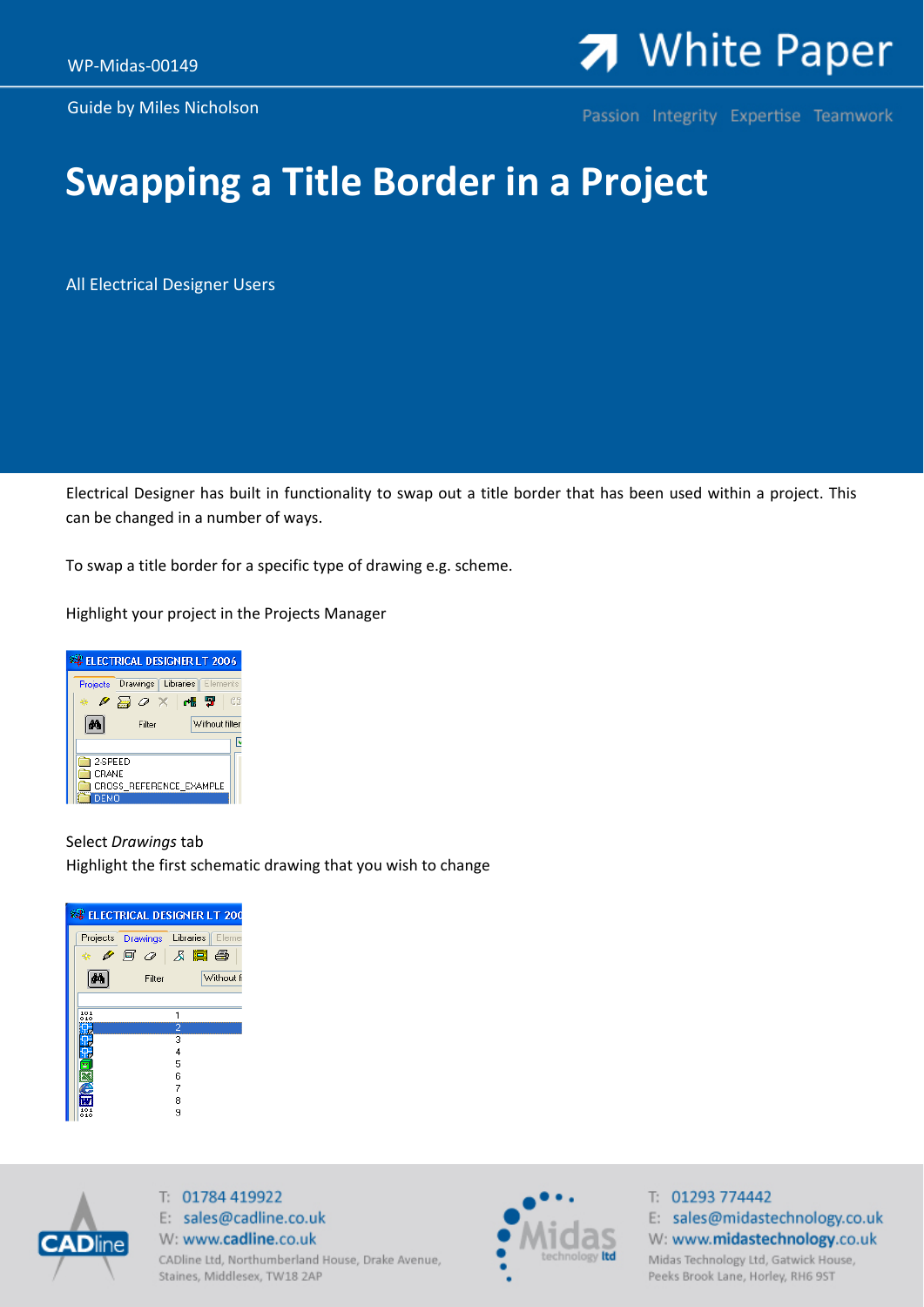Guide by Miles Nicholson

## 7 White Paper

Passion Integrity Expertise Teamwork

## **Swapping a Title Border in a Project**

All Electrical Designer Users

Electrical Designer has built in functionality to swap out a title border that has been used within a project. This can be changed in a number of ways.

To swap a title border for a specific type of drawing e.g. scheme.

Highlight your project in the Projects Manager



## Select *Drawings* tab Highlight the first schematic drawing that you wish to change

|           |                                                                           |   | <b>ELECTRICAL DESIGNER LT 200</b> |
|-----------|---------------------------------------------------------------------------|---|-----------------------------------|
|           | Projects Drawings                                                         |   | Libraries <sup>1</sup><br>Elemer  |
| 丧         | $\triangleright$ 0 $\triangleright$ 1 $\triangleright$ 1 $\triangleright$ |   |                                   |
|           | Filter                                                                    |   | Without fi                        |
|           |                                                                           |   |                                   |
| 101<br>10 |                                                                           |   |                                   |
|           |                                                                           | 2 |                                   |
|           |                                                                           | 3 |                                   |
|           |                                                                           | 4 |                                   |
|           |                                                                           | 5 |                                   |
|           |                                                                           | 6 |                                   |
|           |                                                                           | 7 |                                   |
|           |                                                                           | 8 |                                   |
| 010       |                                                                           | я |                                   |



T: 01784 419922 E: sales@cadline.co.uk W: www.cadline.co.uk CADline Ltd, Northumberland House, Drake Avenue, Staines, Middlesex, TW18 2AP



T: 01293 774442 E: sales@midastechnology.co.uk W: www.midastechnology.co.uk Midas Technology Ltd, Gatwick House, Peeks Brook Lane, Horley, RH6 9ST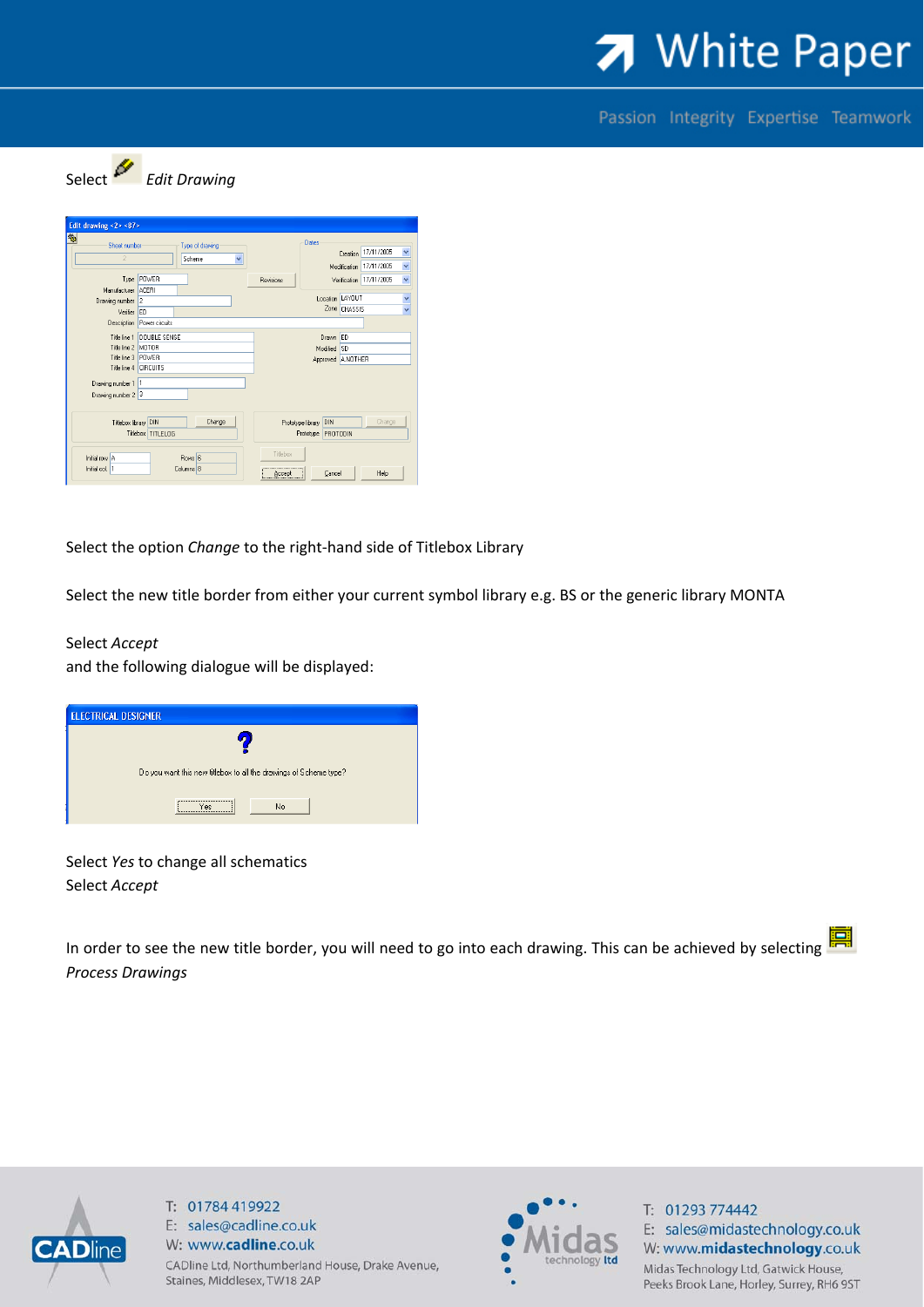

Passion Integrity Expertise Teamwork



| Sheet number          |                            | Type of drawing |                         |                   | Dates                    |              |                         |  |
|-----------------------|----------------------------|-----------------|-------------------------|-------------------|--------------------------|--------------|-------------------------|--|
|                       |                            | Scheme          | $\overline{\mathbf{v}}$ |                   | Creation 17/11/2005      |              |                         |  |
|                       |                            |                 |                         |                   |                          |              | Modification 17/11/2005 |  |
|                       | Type POWER                 |                 |                         | <b>Revisions</b>  |                          |              | Verification 17/11/2005 |  |
| Manufacturer ACERI    |                            |                 |                         |                   |                          |              |                         |  |
| Drawing number 2      |                            |                 |                         |                   | Location LAYOUT          |              |                         |  |
| Verifier ED           |                            |                 |                         |                   |                          | Zone CHASSIS |                         |  |
|                       | Description Power circuits |                 |                         |                   |                          |              |                         |  |
|                       | Title line 1 DOUBLE SENSE  | Drawn ED        |                         |                   |                          |              |                         |  |
| Title line 2 MOTOR    |                            |                 |                         | Modified SD       |                          |              |                         |  |
| Title line 3 POWER    |                            |                 |                         | Approved A.NOTHER |                          |              |                         |  |
| Title line 4 CIRCUITS |                            |                 |                         |                   |                          |              |                         |  |
| Drawing number 1 1    |                            |                 |                         |                   |                          |              |                         |  |
|                       |                            |                 |                         |                   |                          |              |                         |  |
| Drawing number 2 3    |                            |                 |                         |                   |                          |              |                         |  |
| Titlebox library DIN  |                            | Change          |                         |                   | DIN<br>Prototype library |              | Change                  |  |
|                       | Titlebox TITLELOG          |                 |                         |                   | Prototype PROTODIN       |              |                         |  |
|                       |                            |                 |                         |                   |                          |              |                         |  |

Select the option *Change* to the right‐hand side of Titlebox Library

Select the new title border from either your current symbol library e.g. BS or the generic library MONTA

## Select *Accept*

and the following dialogue will be displayed:

| <b>ELECTRICAL DESIGNER</b>                                               |
|--------------------------------------------------------------------------|
|                                                                          |
| Do you want this new titlebox to all the drawings of Scheme type?        |
| ---------------------------------<br>No<br>Yes<br>,,,,,,,,,,,,,,,,,,,,,, |

Select *Yes* to change all schematics Select *Accept*

暠 In order to see the new title border, you will need to go into each drawing. This can be achieved by selecting *Process Drawings*



T: 01784 419922 E: sales@cadline.co.uk W: www.cadline.co.uk CADline Ltd, Northumberland House, Drake Avenue, Staines, Middlesex, TW18 2AP



T: 01293 774442 E: sales@midastechnology.co.uk W: www.midastechnology.co.uk Midas Technology Ltd, Gatwick House, Peeks Brook Lane, Horley, Surrey, RH6 9ST